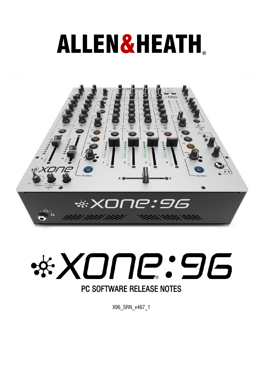# ALLEN&HEATH**®**





X96\_SRN\_v467\_1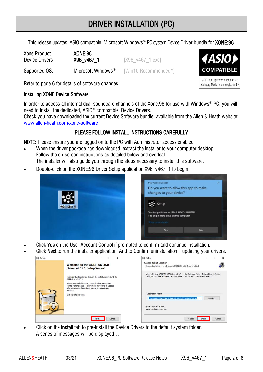# DRIVER INSTALLATION (PC)

This release updates, ASIO compatible, Microsoft Windows® PC system Device Driver bundle for **XONE:96** 

Xone Product XONE:96 **Device Drivers X96 v467 1** [X96 v467 1.exe]

Supported OS: Microsoft Windows<sup>®</sup> [Win10 Recommended\*]

Refer to page 6 for details of software changes.

## Installing XONE Device Software

In order to access all internal dual-soundcard channels of the Xone:96 for use with Windows® PC, you will need to install the dedicated, ASIO® compatible, Device Drivers.

Check you have downloaded the current Device Software bundle, available from the Allen & Heath website: [www.allen-heath.com/xone-software](https://www.allen-heath.com/xone-software/)

## PLEASE FOLLOW INSTALL INSTRUCTIONS CAREFULLY

NOTE: Please ensure you are logged on to the PC with Administrator access enabled

- When the driver package has downloaded, extract the installer to your computer desktop. Follow the on-screen instructions as detailed below and overleaf. The installer will also quide you through the steps necessary to install this software.
- Double-click on the XONE:96 Driver Setup application X96\_v467\_1 to begin.





- Click Yes on the User Account Control if prompted to confirm and continue installation.
- Click Next to run the installer application. And to Confirm uninstallation if updating your drivers.

| 圓<br>Setup | $\times$                                                                                                                                                                                  | <b>国</b> Setup                                                                                                                                                                               |                   |
|------------|-------------------------------------------------------------------------------------------------------------------------------------------------------------------------------------------|----------------------------------------------------------------------------------------------------------------------------------------------------------------------------------------------|-------------------|
|            | Welcome to the XONF 96 USB<br>Driver v4.67.1 Setup Wizard                                                                                                                                 | Choose Install Location<br>Choose the folder in which to install XONE 96 USB Driver v4.67.1.                                                                                                 |                   |
|            | This wizard will guide you through the installation of XONE 96<br>USB Driver v4.67.1.                                                                                                     | Setup will install XONE 96 USB Driver v4.67.1 in the following folder. To install in a different<br>folder, click Browse and select another folder. Click Install to start the installation. |                   |
|            | It is recommended that you dose all other applications<br>before starting Setup. This will make it possible to update<br>relevant system files without having to reboot your<br>computer. |                                                                                                                                                                                              |                   |
|            | Click Next to continue.                                                                                                                                                                   | <b>Destination Folder</b><br>C:\Program Files\Allen & Heath\XONE USB Driver\XONE 96                                                                                                          | Browse            |
|            |                                                                                                                                                                                           | Space required: 4.7MB<br>Space available: 358.7GB                                                                                                                                            |                   |
|            | Cancel<br>Next                                                                                                                                                                            | <back< td=""><td>Cancel<br/>Install</td></back<>                                                                                                                                             | Cancel<br>Install |

Click on the **Install** tab to pre-install the Device Drivers to the default system folder. A series of messages will be displayed…



COMPATIBLE

ASIO is a registered trademark of Steinberg Media Technologies GmbH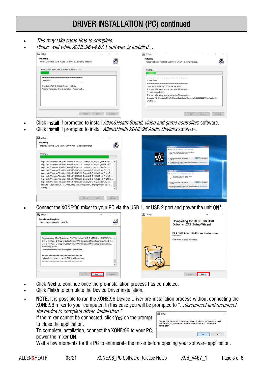# DRIVER INSTALLATION (PC) continued

- This may take some time to complete.
- Please wait while XONE:96 v4.67.1 software is installed…



- Click Install If promoted to install *Allen&Heath Sound, video and game controllers* software.
- Click Install if prompted to install Allen&Heath XONE:96 Audio Devices software.



• Connect the XONE:96 mixer to your PC via the USB 1, or USB 2 port and power the unit ON\*.



- Click Next to continue once the pre-installation process has completed.
- Click Finish to complete the Device Driver installation.
- NOTE: It is possible to run the XONE:96 Device Driver pre-installation process without connecting the XONE:96 mixer to your computer. In this case you will be prompted to "... disconnect and reconnect the device to complete driver installation."

If the mixer cannot be connected, click Yes on the prompt to close the application.

To complete installation, connect the XONE:96 to your PC, power the mixer ON.

| Setup                                                                                                                                                       |    |
|-------------------------------------------------------------------------------------------------------------------------------------------------------------|----|
| To complete the driver installation, you must disconnect and reconnect<br>your device. Do you want to exit this wizard now and connect the<br>device later? |    |
|                                                                                                                                                             | No |

Wait a few moments for the PC to enumerate the mixer before opening your software application.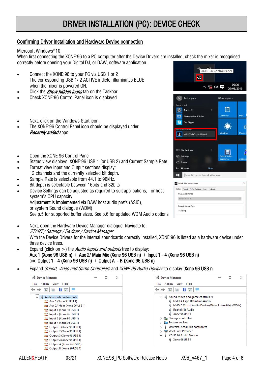# DRIVER INSTALLATION (PC): DEVICE CHECK

#### Confirming Driver Installation and Hardware Device connection

#### Microsoft Windows®10

When first connecting the XONE:96 to a PC computer after the Device Drivers are installed, check the mixer is recognised correctly before opening your Digital DJ, or DAW, software application.

- Connect the XONE:96 to your PC via USB 1 or 2 The corresponding USB 1/ 2 ACTIVE indictor illuminates BLUE when the mixer is powered ON.
- Click the *Show hidden icons* tab on the Taskbar
- Check XONE:96 Control Panel icon is displayed
- Next, click on the Windows Start icon.
- The XONE:96 Control Panel icon should be displayed under **Recently added apps**
- Open the XONE 96 Control Panel
- Status view displays: XONE:96 USB 1 (or USB 2) and Current Sample Rate
- Format view Input and Output sections display:
- 12 channels and the currently selected bit depth.
- Sample Rate is selectable from 44.1 to 96kHz.
- Bit depth is selectable between 16bits and 32bits
- Device Settings can be adjusted as required to suit applications, or host system's CPU capacity. Adjustment is implemented via DAW host audio prefs (ASIO), or system Sound dialogue (WDM) See p.5 for supported buffer sizes. See p.6 for updated WDM Audio options
- Next, open the Hardware Device Manager dialogue. Navigate to: START / Settings / Devices / Device Manager
- With the Device Drivers for the internal soundcards correctly installed, XONE:96 is listed as a hardware device under three device trees.
- Expand (click on >) the *Audio inputs and outputs* tree to display: Aux 1 (Xone 96 USB n) + Aux 2/ Main Mix (Xone 96 USB n) + Input 1 - 4 (Xone 96 USB n) and Output 1 - 4 (Xone 96 USB n)  $+$  Output A - B (Xone 96 USB n)
- Expand *Sound, Video and Game Controllers* and *XONE 96 Audio Devices* to display: **Xone 96 USB n**



| <b>Device Manager</b>                                                                                                                                                           |  | × |
|---------------------------------------------------------------------------------------------------------------------------------------------------------------------------------|--|---|
| Action View<br>File<br>Help                                                                                                                                                     |  |   |
| $\Box$ $\Box$ $\Box$<br>बरों क                                                                                                                                                  |  |   |
| $\vee$ iii Sound, video and game controllers<br><b>NVIDIA High Definition Audio</b><br>NVIDIA Virtual Audio Device (Wave Extensible) (WDM)<br>Realtek(R) Audio<br>Xone 96 USB 1 |  |   |
| Storage controllers<br>System devices<br><b>Universal Serial Bus controllers</b><br><b>Example 1 WSD Print Provider</b><br><b>XONE 96 Audio Devices</b><br>Xone 96 USB 1        |  |   |

| l₩.                                                          |     | 取り厚                           | 09:06<br>09/06/2018 |                    |
|--------------------------------------------------------------|-----|-------------------------------|---------------------|--------------------|
|                                                              |     |                               |                     |                    |
| $\mathsf{R}$<br>Tech support                                 |     | Life at a glance              |                     |                    |
| Most used                                                    |     |                               |                     |                    |
| $\odot$<br>Traktor 2                                         | ×   |                               |                     |                    |
| 打旧<br><b>Ableton Live 9 Suite</b>                            |     | Calendar                      |                     | Mail               |
| G<br>Get Skype                                               |     |                               |                     | ń                  |
| secentry agged                                               |     | Weather                       |                     | Phone <sup>(</sup> |
| -95<br>XONE 96 Control Panel                                 |     |                               |                     |                    |
| File Explorer<br><b>Q</b> Settings<br>( <sup>1</sup> ) Pawer | ×   | <b>Debut Video</b><br>Capture |                     | midisco            |
| E All apps                                                   | New |                               |                     |                    |
| Search the web and Windows<br>⊞                              |     |                               |                     |                    |
| XONE 96 Control Panel                                        |     |                               |                     | $\times$           |
| Status Format Buffer Settings Info About                     |     |                               |                     |                    |
| USB Audio Device<br>XONE 96 USB 1                            |     |                               |                     |                    |
| Current Sample Rate                                          |     |                               |                     |                    |
| 44100 Hz                                                     |     |                               |                     |                    |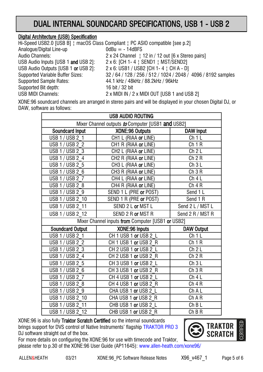# DUAL INTERNAL SOUNDCARD SPECIFICATIONS, USB 1 - USB 2

## Digital Architecture (USB) Specification

Hi-Speed USB2.0 [USB B] ¦ macOS Class Compliant ¦ PC ASIO compatible [see p.2] Analogue/Digital Line-up  $0$ dBu = -14dBFS Audio Channels: 2 x 24 Channel | 12 in / 12 out [6 x Stereo pairs] USB Audio Inputs [USB 1 and USB 2]: 2 x 6: [CH 1-4 | SEND1 | MST/SEND2] USB Audio Outputs [USB 1 or USB 2]: 2 x 6: USB1 / USB2 [CH 1-4 | CH A - D] Supported Variable Buffer Sizes: 32 / 64 / 128 / 256 / 512 / 1024 / 2048 / 4096 / 8192 samples Supported Sample Rates: 44.1 kHz / 48kHz / 88.2kHz / 96kHz Supported Bit depth: 16 bit / 32 bit USB MIDI Channels: 2 x MIDI IN / 2 x MIDI OUT [USB 1 and USB 2]

XONE:96 soundcard channels are arranged in stereo pairs and will be displayed in your chosen Digital DJ, or DAW, software as follows:

| <b>USB AUDIO ROUTING</b>                          |                        |                   |  |  |
|---------------------------------------------------|------------------------|-------------------|--|--|
| Mixer Channel outputs to Computer [USB1 and USB2] |                        |                   |  |  |
| Soundcard Input                                   | <b>XONE:96 Outputs</b> | <b>DAW Input</b>  |  |  |
| <b>USB 1/USB 2 1</b>                              | CH1 L (RIAA or LINE)   | Ch1L              |  |  |
| <b>USB 1/ USB 2 2</b>                             | CH1 R (RIAA or LINE)   | Ch1R              |  |  |
| USB 1 / USB 2 3                                   | CH2 L (RIAA or LINE)   | Ch <sub>2</sub> L |  |  |
| USB 1 / USB $2\overline{4}$                       | CH2 R (RIAA or LINE)   | Ch 2 R            |  |  |
| USB 1 / USB 2 5                                   | CH3 L (RIAA or LINE)   | Ch3L              |  |  |
| USB 1 / USB 2 6                                   | CH3 R (RIAA or LINE)   | Ch 3 R            |  |  |
| USB 1 / USB 2 7                                   | CH4 L (RIAA or LINE)   | Ch4L              |  |  |
| USB 1 / USB 2 8                                   | CH4 R (RIAA or LINE)   | Ch 4 R            |  |  |
| USB 1 / USB 2 9                                   | SEND 1 L (PRE or POST) | Send 1 L          |  |  |
| USB 1 / USB 2 10                                  | SEND 1 R (PRE or POST) | Send 1 R          |  |  |
| USB 1 / USB 2 11                                  | SEND 2 L or MST L      | Send 2 L / MST L  |  |  |
| USB 1 / USB 2 12                                  | SEND 2 R or MST R      | Send 2 R / MST R  |  |  |
| Mixer Channel inputs from Computer [USB1 or USB2] |                        |                   |  |  |
| <b>Soundcard Output</b>                           | XONE:96 Inputs         | <b>DAW Output</b> |  |  |
| USB 1 / USB 2 1                                   | CH 1 USB 1 or USB 2 L  | Ch1L              |  |  |
| USB 1 / USB 2 2                                   | CH 1 USB 1 or USB 2 R  | Ch 1 R            |  |  |
| USB 1 / USB 2 3                                   | CH 2 USB 1 or USB 2 L  | Ch <sub>2</sub> L |  |  |
| USB 1 / USB 2 4                                   | CH 2 USB 1 or USB 2 R  | Ch 2 R            |  |  |
| USB 1 / USB 2 5                                   | CH 3 USB 1 or USB 2 L  | Ch3L              |  |  |
| USB 1 / USB 2 6                                   | CH 3 USB 1 or USB 2 R  | Ch 3 R            |  |  |
| <b>USB 1/USB 27</b>                               | CH 4 USB 1 or USB 2 L  | Ch4L              |  |  |
| USB 1 / USB 2 8                                   | CH 4 USB 1 or USB 2 R  | Ch 4 R            |  |  |
| USB 1 / USB 2 9                                   | CHA USB 1 or USB 2 L   | Ch A L            |  |  |
| USB 1 / USB 2 10                                  | CHAUSB 1 or USB 2 R    | Ch A R            |  |  |
| USB 1 / USB 2 11                                  | CHB USB 1 or USB 2 L   | $ChB$ L           |  |  |
| USB 1 / USB 2 12                                  | CHB USB 1 or USB 2 R   | ChB R             |  |  |

XONE:96 is also fully Traktor Scratch Certified so the internal soundcards brings support for DVS control of Native Instruments' flagship [TRAKTOR PRO 3](https://www.native-instruments.com/en/products/traktor/dj-accessories/bags-cases-and-control-media/software-timecode-kit/)  DJ software straight out of the box.





ALLEN&HEATH 03/21 XONE:96 PC Software Release Notes X96 v467 1 Page 5 of 6